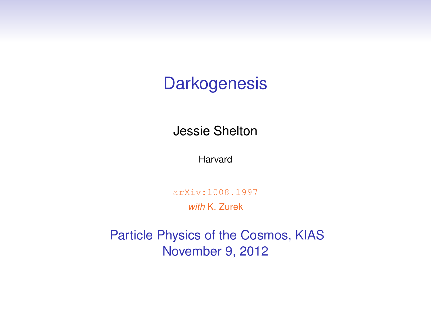#### **Darkogenesis**

Jessie Shelton

Harvard

arXiv:1008.1997

*with* K. Zurek

Particle Physics of the Cosmos, KIAS November 9, 2012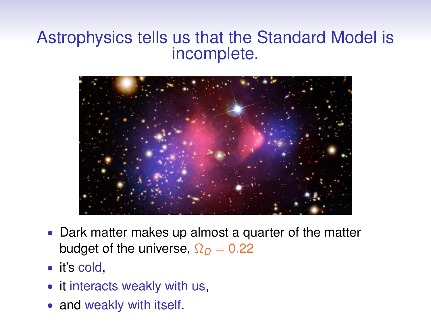#### Astrophysics tells us that the Standard Model is incomplete.



- Dark matter makes up almost a quarter of the matter budget of the universe,  $\Omega_D = 0.22$
- it's cold,
- it interacts weakly with us,
- and weakly with itself.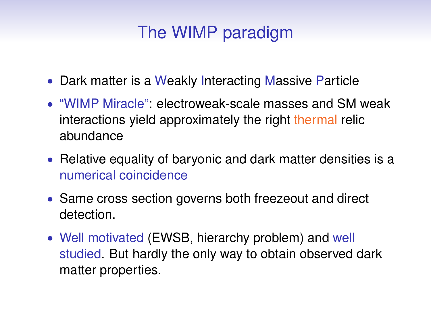# The WIMP paradigm

- Dark matter is a Weakly Interacting Massive Particle
- "WIMP Miracle": electroweak-scale masses and SM weak interactions yield approximately the right thermal relic abundance
- Relative equality of baryonic and dark matter densities is a numerical coincidence
- Same cross section governs both freezeout and direct detection.
- Well motivated (EWSB, hierarchy problem) and well studied. But hardly the only way to obtain observed dark matter properties.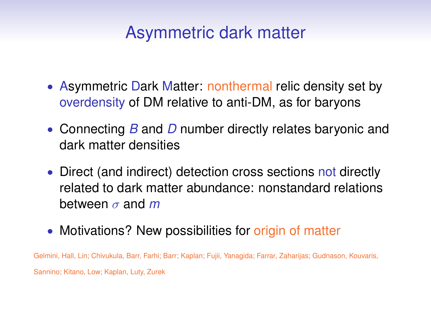#### Asymmetric dark matter

- Asymmetric Dark Matter: nonthermal relic density set by overdensity of DM relative to anti-DM, as for baryons
- Connecting *B* and *D* number directly relates baryonic and dark matter densities
- Direct (and indirect) detection cross sections not directly related to dark matter abundance: nonstandard relations between σ and *m*
- Motivations? New possibilities for origin of matter

Gelmini, Hall, Lin; Chivukula, Barr, Farhi; Barr; Kaplan; Fujii, Yanagida; Farrar, Zaharijas; Gudnason, Kouvaris, Sannino; Kitano, Low; Kaplan, Luty, Zurek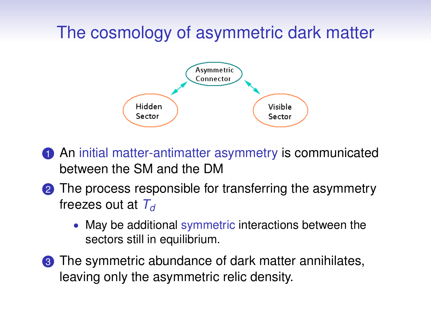# The cosmology of asymmetric dark matter



- **1** An initial matter-antimatter asymmetry is communicated between the SM and the DM
- **2** The process responsible for transferring the asymmetry freezes out at *T<sup>d</sup>*
	- May be additional symmetric interactions between the sectors still in equilibrium.
- <sup>3</sup> The symmetric abundance of dark matter annihilates, leaving only the asymmetric relic density.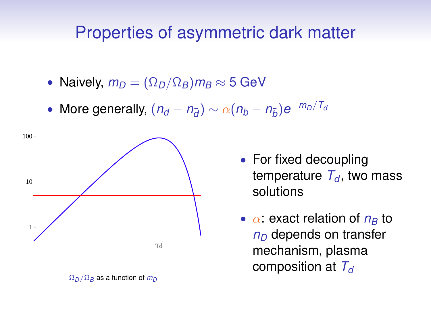#### Properties of asymmetric dark matter

- Naively,  $m_D = (\Omega_D/\Omega_B) m_B \approx 5$  GeV
- More generally,  $(n_d n_{\bar{d}}) \sim \alpha (n_b n_{\bar{b}}) e^{-m_D/T_d}$



 $Ω<sub>D</sub>/Ω<sub>B</sub>$  as a function of *m*<sub>D</sub>

- For fixed decoupling temperature  $T_d$ , two mass solutions
- $\alpha$ : exact relation of  $n<sub>B</sub>$  to *n<sup>D</sup>* depends on transfer mechanism, plasma composition at *T<sup>d</sup>*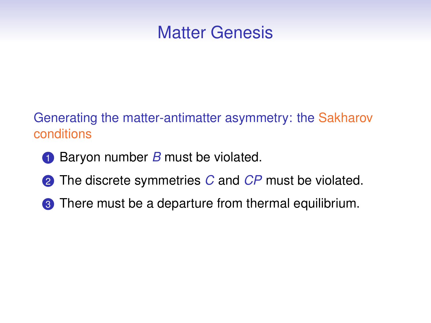#### Matter Genesis

Generating the matter-antimatter asymmetry: the Sakharov conditions

- **1** Baryon number *B* must be violated.
- **2** The discrete symmetries *C* and *CP* must be violated.
- **3** There must be a departure from thermal equilibrium.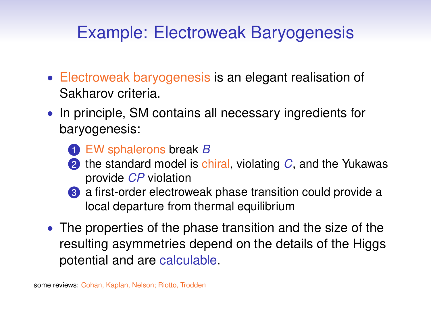# Example: Electroweak Baryogenesis

- Electroweak baryogenesis is an elegant realisation of Sakharov criteria.
- In principle, SM contains all necessary ingredients for baryogenesis:
	- 1 EW sphalerons break *B*
	- 2 the standard model is chiral, violating *C*, and the Yukawas provide *CP* violation
	- <sup>3</sup> a first-order electroweak phase transition could provide a local departure from thermal equilibrium
- The properties of the phase transition and the size of the resulting asymmetries depend on the details of the Higgs potential and are calculable.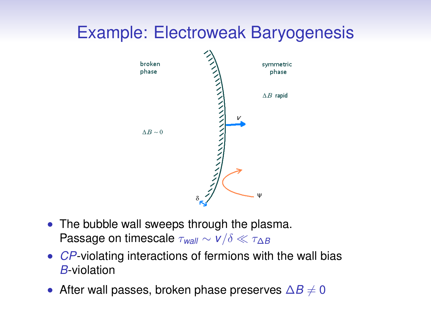### Example: Electroweak Baryogenesis



- The bubble wall sweeps through the plasma. Passage on timescale  $\tau_{wall} \sim v/\delta \ll \tau_{AB}$
- *CP*-violating interactions of fermions with the wall bias *B*-violation
- After wall passes, broken phase preserves  $\Delta B \neq 0$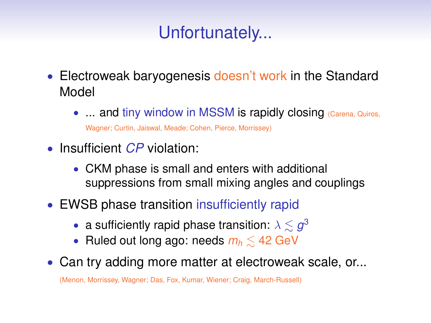# Unfortunately...

- Electroweak baryogenesis doesn't work in the Standard Model
	- ... and tiny window in MSSM is rapidly closing (Carena, Quiros,

Wagner; Curtin, Jaiswal, Meade; Cohen, Pierce, Morrissey)

- Insufficient *CP* violation:
	- CKM phase is small and enters with additional suppressions from small mixing angles and couplings
- EWSB phase transition insufficiently rapid
	- a sufficiently rapid phase transition:  $\lambda \lesssim g^3$
	- Ruled out long ago: needs *<sup>m</sup><sup>h</sup>* <sup>&</sup>lt;<sup>∼</sup> 42 GeV
- Can try adding more matter at electroweak scale, or...

(Menon, Morrissey, Wagner; Das, Fox, Kumar, Wiener; Craig, March-Russell)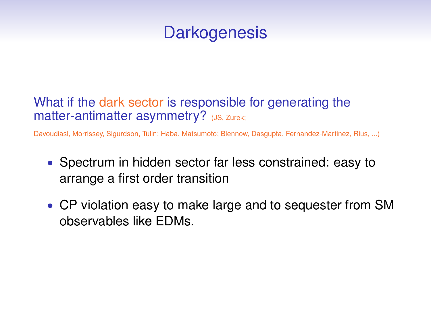### **Darkogenesis**

#### What if the dark sector is responsible for generating the matter-antimatter asymmetry? (JS, Zurek;

Davoudiasl, Morrissey, Sigurdson, Tulin; Haba, Matsumoto; Blennow, Dasgupta, Fernandez-Martinez, Rius, ...)

- Spectrum in hidden sector far less constrained: easy to arrange a first order transition
- CP violation easy to make large and to sequester from SM observables like EDMs.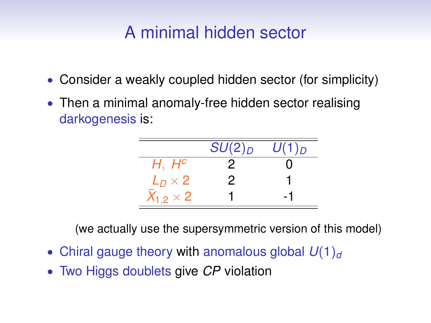# A minimal hidden sector

- Consider a weakly coupled hidden sector (for simplicity)
- Then a minimal anomaly-free hidden sector realising darkogenesis is:

|                    | $SU(2)_D$ | $U(1)_D$ |
|--------------------|-----------|----------|
| $H, H^c$           |           |          |
| $L_D \times 2$     | 2         |          |
| $X_{1,2} \times 2$ |           |          |

(we actually use the supersymmetric version of this model)

- Chiral gauge theory with anomalous global  $U(1)<sub>d</sub>$
- Two Higgs doublets give *CP* violation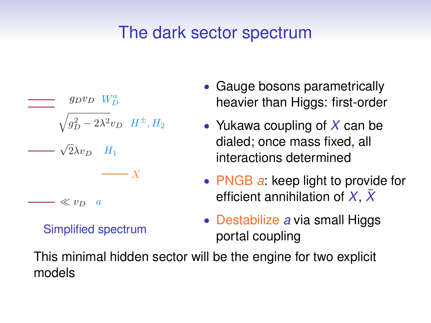### The dark sector spectrum

$$
J_{D}^{0} = W_{D}^{0}
$$
\n
$$
W_{D}^{a}
$$
\n
$$
W_{D}^{2} - 2\lambda^{2}v_{D} H^{\pm}, H_{2}
$$
\n
$$
W_{D}^{2} = \lambda^{2}v_{D} H_{1}
$$
\n
$$
-X
$$
\n
$$
W_{D}^{a}
$$

#### Simplified spectrum

- Gauge bosons parametrically heavier than Higgs: first-order
- Yukawa coupling of *X* can be dialed; once mass fixed, all interactions determined
- PNGB *a*: keep light to provide for efficient annihilation of  $X$ ,  $\bar{X}$
- Destabilize *a* via small Higgs portal coupling

This minimal hidden sector will be the engine for two explicit models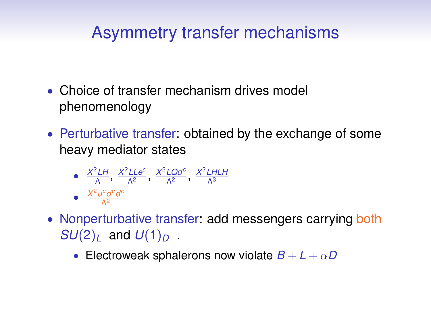### Asymmetry transfer mechanisms

- Choice of transfer mechanism drives model phenomenology
- Perturbative transfer: obtained by the exchange of some heavy mediator states

• 
$$
\frac{X^2 L H}{\Lambda}
$$
,  $\frac{X^2 L Le^c}{\Lambda^2}$ ,  $\frac{X^2 L Q d^c}{\Lambda^2}$ ,  $\frac{X^2 L H L H}{\Lambda^3}$   
•  $\frac{X^2 u^c d^c d^c}{\Lambda^2}$ 

Λ2

- Nonperturbative transfer: add messengers carrying both *SU*(2)<sub>*l*</sub> and  $U(1)_D$ .
	- Electroweak sphalerons now violate  $B + L + \alpha D$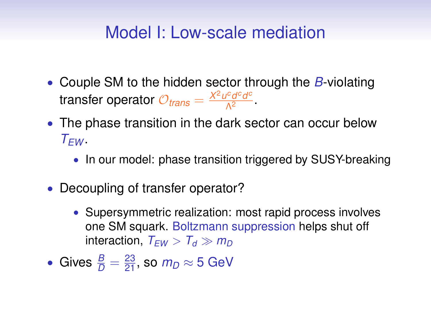#### Model I: Low-scale mediation

- Couple SM to the hidden sector through the *B*-violating transfer operator  $\mathcal{O}_{trans} = \frac{X^2 u^c d^c d^c}{\Lambda^2}$  $\frac{\rho^2 a^2 a^2}{\Lambda^2}$ .
- The phase transition in the dark sector can occur below  $T$ *EW* .
	- In our model: phase transition triggered by SUSY-breaking
- Decoupling of transfer operator?
	- Supersymmetric realization: most rapid process involves one SM squark. Boltzmann suppression helps shut off interaction,  $T_{FW} > T_d \gg m_D$
- Gives  $\frac{B}{D}=\frac{23}{21}$ , so  $m_D\approx 5$  GeV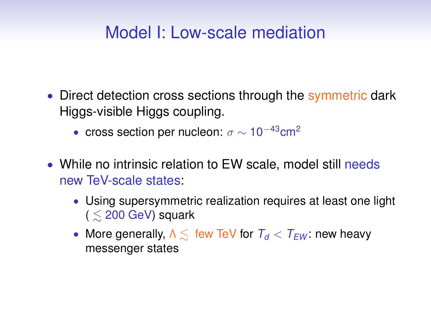### Model I: Low-scale mediation

- Direct detection cross sections through the symmetric dark Higgs-visible Higgs coupling.
	- cross section per nucleon:  $\sigma \sim 10^{-43}$ cm<sup>2</sup>
- While no intrinsic relation to EW scale, model still needs new TeV-scale states:
	- Using supersymmetric realization requires at least one light  $($   $\leq$  200 GeV) squark
	- More generally, <sup>Λ</sup> <sup>&</sup>lt;<sup>∼</sup> few TeV for *<sup>T</sup><sup>d</sup>* <sup>&</sup>lt; *<sup>T</sup>EW* : new heavy messenger states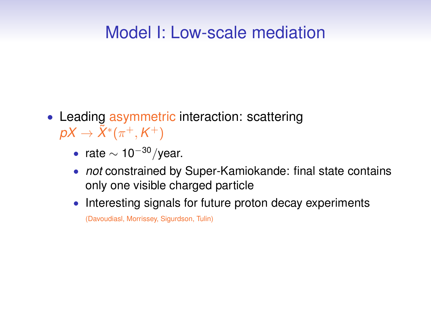### Model I: Low-scale mediation

- Leading asymmetric interaction: scattering  $pX \rightarrow \tilde{X}^*(\pi^+,K^+)$ 
	- rate  $\sim 10^{-30}$ /year.
	- *not* constrained by Super-Kamiokande: final state contains only one visible charged particle
	- Interesting signals for future proton decay experiments (Davoudiasl, Morrissey, Sigurdson, Tulin)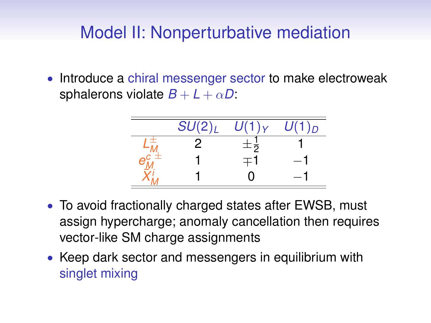• Introduce a chiral messenger sector to make electroweak sphalerons violate  $B + L + \alpha D$ :



- To avoid fractionally charged states after EWSB, must assign hypercharge; anomaly cancellation then requires vector-like SM charge assignments
- Keep dark sector and messengers in equilibrium with singlet mixing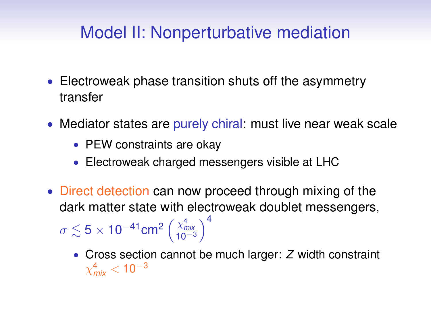- Electroweak phase transition shuts off the asymmetry transfer
- Mediator states are purely chiral: must live near weak scale
	- PEW constraints are okay
	- Electroweak charged messengers visible at LHC
- Direct detection can now proceed through mixing of the dark matter state with electroweak doublet messengers,  $\sigma \lesssim 5 \times 10^{-41}$ cm $^2 \left( \frac{\chi^4_{mix}}{10^{-3}} \right)$  $\bigwedge^4$ 
	- Cross section cannot be much larger: *Z* width constraint  $\chi^{\boldsymbol 4}_{\mathsf{mix}} <$  10 $^{-3}$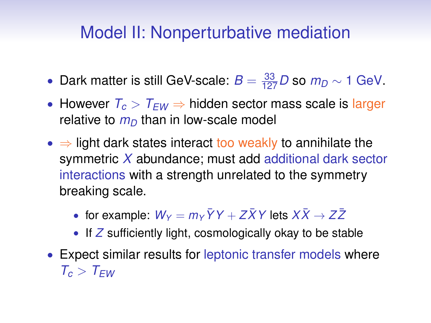- Dark matter is still GeV-scale:  $B = \frac{33}{127}D$  so  $m_D \sim 1$  GeV.
- However *T<sup>c</sup>* > *TEW* ⇒ hidden sector mass scale is larger relative to  $m<sub>D</sub>$  than in low-scale model
- $\Rightarrow$  light dark states interact too weakly to annihilate the symmetric *X* abundance; must add additional dark sector interactions with a strength unrelated to the symmetry breaking scale.
	- for example:  $W_y = m_y \bar{Y}Y + Z\bar{X}Y$  lets  $X\bar{X} \rightarrow Z\bar{Z}$
	- If Z sufficiently light, cosmologically okay to be stable
- Expect similar results for leptonic transfer models where  $T_c > T_{FW}$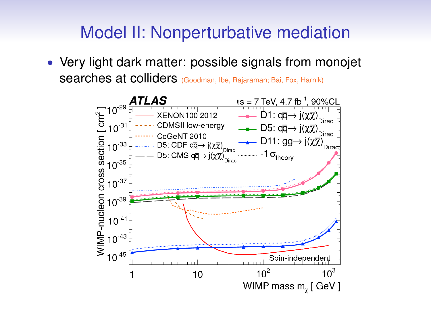• Very light dark matter: possible signals from monojet searches at colliders (Goodman, Ibe, Rajaraman; Bai, Fox, Harnik)